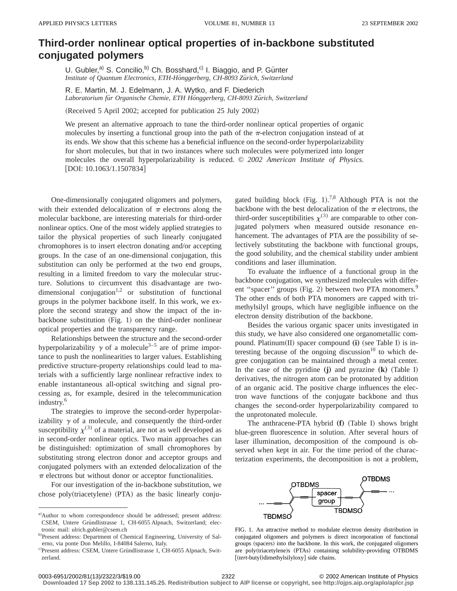## **Third-order nonlinear optical properties of in-backbone substituted conjugated polymers**

U. Gubler,<sup>a)</sup> S. Concilio,<sup>b)</sup> Ch. Bosshard,<sup>c)</sup> I. Biaggio, and P. Günter Institute of Quantum Electronics, ETH-Hönggerberg, CH-8093 Zürich, Switzerland

R. E. Martin, M. J. Edelmann, J. A. Wytko, and F. Diederich *Laboratorium fu¨r Organische Chemie, ETH Ho¨nggerberg, CH-8093 Zu¨rich, Switzerland*

(Received 5 April 2002; accepted for publication 25 July 2002)

We present an alternative approach to tune the third-order nonlinear optical properties of organic molecules by inserting a functional group into the path of the  $\pi$ -electron conjugation instead of at its ends. We show that this scheme has a beneficial influence on the second-order hyperpolarizability for short molecules, but that in two instances where such molecules were polymerized into longer molecules the overall hyperpolarizability is reduced. © *2002 American Institute of Physics.*  $[$ DOI: 10.1063/1.1507834 $]$ 

One-dimensionally conjugated oligomers and polymers, with their extended delocalization of  $\pi$  electrons along the molecular backbone, are interesting materials for third-order nonlinear optics. One of the most widely applied strategies to tailor the physical properties of such linearly conjugated chromophores is to insert electron donating and/or accepting groups. In the case of an one-dimensional conjugation, this substitution can only be performed at the two end groups, resulting in a limited freedom to vary the molecular structure. Solutions to circumvent this disadvantage are twodimensional conjugation<sup>1,2</sup> or substitution of functional groups in the polymer backbone itself. In this work, we explore the second strategy and show the impact of the inbackbone substitution  $(Fig. 1)$  on the third-order nonlinear optical properties and the transparency range.

Relationships between the structure and the second-order hyperpolarizability  $\gamma$  of a molecule<sup>3–5</sup> are of prime importance to push the nonlinearities to larger values. Establishing predictive structure-property relationships could lead to materials with a sufficiently large nonlinear refractive index to enable instantaneous all-optical switching and signal processing as, for example, desired in the telecommunication industry.6

The strategies to improve the second-order hyperpolarizability  $\gamma$  of a molecule, and consequently the third-order susceptibility  $\chi^{(3)}$  of a material, are not as well developed as in second-order nonlinear optics. Two main approaches can be distinguished: optimization of small chromophores by substituting strong electron donor and acceptor groups and conjugated polymers with an extended delocalization of the  $\pi$  electrons but without donor or acceptor functionalities.

For our investigation of the in-backbone substitution, we chose poly(triacetylene)  $(PTA)$  as the basic linearly conju-

gated building block (Fig. 1).<sup>7,8</sup> Although PTA is not the backbone with the best delocalization of the  $\pi$  electrons, the third-order susceptibilities  $\chi^{(3)}$  are comparable to other conjugated polymers when measured outside resonance enhancement. The advantages of PTA are the possibility of selectively substituting the backbone with functional groups, the good solubility, and the chemical stability under ambient conditions and laser illumination.

To evaluate the influence of a functional group in the backbone conjugation, we synthesized molecules with different "spacer" groups (Fig. 2) between two PTA monomers.<sup>9</sup> The other ends of both PTA monomers are capped with trimethylsilyl groups, which have negligible influence on the electron density distribution of the backbone.

Besides the various organic spacer units investigated in this study, we have also considered one organometallic compound. Platinum(II) spacer compound (i) (see Table I) is interesting because of the ongoing discussion $10$  to which degree conjugation can be maintained through a metal center. In the case of the pyridine  $(j)$  and pyrazine  $(k)$  (Table I) derivatives, the nitrogen atom can be protonated by addition of an organic acid. The positive charge influences the electron wave functions of the conjugate backbone and thus changes the second-order hyperpolarizability compared to the unprotonated molecule.

The anthracene-PTA hybrid (f) (Table I) shows bright blue-green fluorescence in solution. After several hours of laser illumination, decomposition of the compound is observed when kept in air. For the time period of the characterization experiments, the decomposition is not a problem,



FIG. 1. An attractive method to modulate electron density distribution in conjugated oligomers and polymers is direct incorporation of functional groups (spacers) into the backbone. In this work, the conjugated oligomers are poly(triacetylene)s (PTAs) containing solubility-providing OTBDMS [(tert-butyl)dimethylsilyloxy] side chains.

0003-6951/2002/81(13)/2322/3/\$19.00 © 2002 American Institute of Physics 2322

a)Author to whom correspondence should be addressed; present address: CSEM, Untere Gründlistrasse 1, CH-6055 Alpnach, Switzerland; electronic mail: ulrich.gubler@csem.ch

b)Present address: Department of Chemical Engineering, University of Salerno, via ponte Don Melillo, I-84084 Salerno, Italy.

c)Present address: CSEM, Untere Gründlistrasse 1, CH-6055 Alpnach, Switzerland.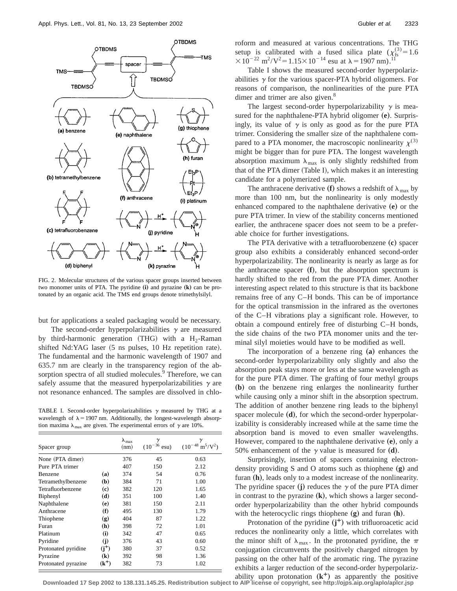

FIG. 2. Molecular structures of the various spacer groups inserted between two monomer units of PTA. The pyridine (i) and pyrazine (k) can be protonated by an organic acid. The TMS end groups denote trimethylsilyl.

but for applications a sealed packaging would be necessary.

The second-order hyperpolarizabilities  $\gamma$  are measured by third-harmonic generation (THG) with a H<sub>2</sub>-Raman shifted Nd:YAG laser (5 ns pulses, 10 Hz repetition rate). The fundamental and the harmonic wavelength of 1907 and 635.7 nm are clearly in the transparency region of the absorption spectra of all studied molecules.<sup>9</sup> Therefore, we can safely assume that the measured hyperpolarizabilities  $\gamma$  are not resonance enhanced. The samples are dissolved in chlo-

TABLE I. Second-order hyperpolarizabilities  $\gamma$  measured by THG at a wavelength of  $\lambda = 1907$  nm. Additionally, the longest-wavelength absorption maxima  $\lambda_{\text{max}}$  are given. The experimental errors of  $\gamma$  are 10%.

| Spacer group        |                             | $\lambda_{\text{max}}$<br>(nm) | γ<br>$(10^{-36}$ esu) | γ<br>$(10^{-48} \text{ m}^5/\text{V}^2)$ |
|---------------------|-----------------------------|--------------------------------|-----------------------|------------------------------------------|
| None (PTA dimer)    |                             | 376                            | 45                    | 0.63                                     |
| Pure PTA trimer     |                             | 407                            | 150                   | 2.12                                     |
| Benzene             | (a)                         | 374                            | 54                    | 0.76                                     |
| Tetramethylbenzene  | (b)                         | 384                            | 71                    | 1.00                                     |
| Tetrafluorbenzene   | (c)                         | 382                            | 120                   | 1.65                                     |
| Biphenyl            | (d)                         | 351                            | 100                   | 1.40                                     |
| Naphthalene         | (e)                         | 381                            | 150                   | 2.11                                     |
| Anthracene          | (f)                         | 495                            | 130                   | 1.79                                     |
| Thiophene           | $\left( \mathbf{g} \right)$ | 404                            | 87                    | 1.22                                     |
| Furan               | (h)                         | 398                            | 72                    | 1.01                                     |
| Platinum            | (i)                         | 342                            | 47                    | 0.65                                     |
| Pyridine            | (i)                         | 376                            | 43                    | 0.60                                     |
| Protonated pyridine | $(i^{+})$                   | 380                            | 37                    | 0.52                                     |
| Pyrazine            | $\left( \mathbf{k}\right)$  | 392                            | 98                    | 1.36                                     |
| Protonated pyrazine | $({\bf k}^+)$               | 382                            | 73                    | 1.02                                     |

roform and measured at various concentrations. The THG setup is calibrated with a fused silica plate  $(\chi_{fs}^{(3)}=1.6$  $310^{-22}$  m<sup>2</sup>/V<sup>2</sup> = 1.15 $\times$ 10<sup>-14</sup> esu at  $\lambda$  = 1907 nm).<sup>11</sup>

Table I shows the measured second-order hyperpolarizabilities  $\gamma$  for the various spacer-PTA hybrid oligomers. For reasons of comparison, the nonlinearities of the pure PTA dimer and trimer are also given.<sup>8</sup>

The largest second-order hyperpolarizability  $\gamma$  is measured for the naphthalene-PTA hybrid oligomer (e). Surprisingly, its value of  $\gamma$  is only as good as for the pure PTA trimer. Considering the smaller size of the naphthalene compared to a PTA monomer, the macroscopic nonlinearity  $\chi^{(3)}$ might be bigger than for pure PTA. The longest wavelength absorption maximum  $\lambda_{\text{max}}$  is only slightly redshifted from that of the PTA dimer (Table I), which makes it an interesting candidate for a polymerized sample.

The anthracene derivative (f) shows a redshift of  $\lambda_{\text{max}}$  by more than 100 nm, but the nonlinearity is only modestly enhanced compared to the naphthalene derivative (e) or the pure PTA trimer. In view of the stability concerns mentioned earlier, the anthracene spacer does not seem to be a preferable choice for further investigations.

The PTA derivative with a tetrafluorobenzene (c) spacer group also exhibits a considerably enhanced second-order hyperpolarizability. The nonlinearity is nearly as large as for the anthracene spacer (f), but the absorption spectrum is hardly shifted to the red from the pure PTA dimer. Another interesting aspect related to this structure is that its backbone remains free of any C–H bonds. This can be of importance for the optical transmission in the infrared as the overtones of the C–H vibrations play a significant role. However, to obtain a compound entirely free of disturbing C–H bonds, the side chains of the two PTA monomer units and the terminal silyl moieties would have to be modified as well.

The incorporation of a benzene ring (a) enhances the second-order hyperpolarizability only slightly and also the absorption peak stays more or less at the same wavelength as for the pure PTA dimer. The grafting of four methyl groups **(b)** on the benzene ring enlarges the nonlinearity further while causing only a minor shift in the absorption spectrum. The addition of another benzene ring leads to the biphenyl spacer molecule (**d**), for which the second-order hyperpolarizability is considerably increased while at the same time the absorption band is moved to even smaller wavelengths. However, compared to the naphthalene derivative (e), only a 50% enhancement of the  $\gamma$  value is measured for  $(d)$ .

Surprisingly, insertion of spacers containing electrondensity providing S and O atoms such as thiophene (g) and furan (h), leads only to a modest increase of the nonlinearity. The pyridine spacer (j) reduces the  $\gamma$  of the pure PTA dimer in contrast to the pyrazine  $(\mathbf{k})$ , which shows a larger secondorder hyperpolarizability than the other hybrid compounds with the heterocyclic rings thiophene  $(g)$  and furan  $(h)$ .

Protonation of the pyridine  $(j^+)$  with trifluoroacetic acid reduces the nonlinearity only a little, which correlates with the minor shift of  $\lambda_{\text{max}}$ . In the protonated pyridine, the  $\pi$ conjugation circumvents the positively charged nitrogen by passing on the other half of the aromatic ring. The pyrazine exhibits a larger reduction of the second-order hyperpolarizability upon protonation  $(k^+)$  as apparently the positive

**Downloaded 17 Sep 2002 to 138.131.145.25. Redistribution subject to AIP license or copyright, see http://ojps.aip.org/aplo/aplcr.jsp**